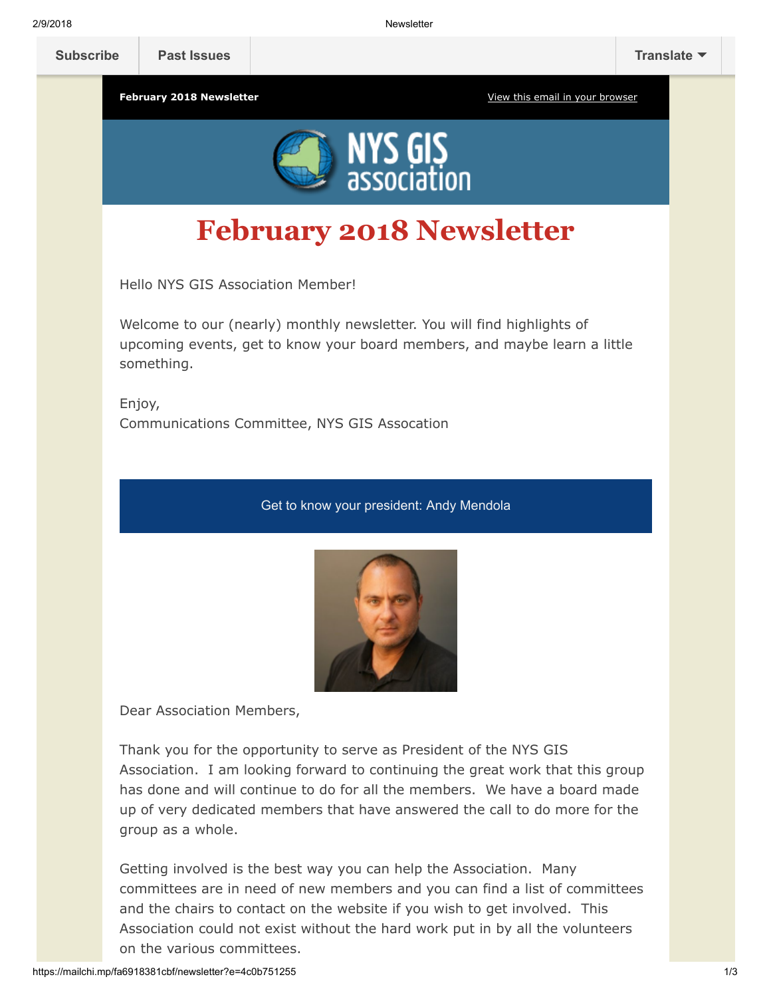2/9/2018 Newsletter

February 2018 Newsletter **[View this email in your browser](http://mailchi.mp/fa6918381cbf/newsletter?e=4c0b751255)** View this email in your browser



## February 2018 Newsletter

Hello NYS GIS Association Member!

Welcome to our (nearly) monthly newsletter. You will find highlights of upcoming events, get to know your board members, and maybe learn a little something.

Enjoy, Communications Committee, NYS GIS Assocation

## Get to know your president: Andy Mendola



Dear Association Members,

Thank you for the opportunity to serve as President of the NYS GIS Association. I am looking forward to continuing the great work that this group has done and will continue to do for all the members. We have a board made up of very dedicated members that have answered the call to do more for the group as a whole.

Getting involved is the best way you can help the Association. Many committees are in need of new members and you can find a list of committees and the chairs to contact on the website if you wish to get involved. This Association could not exist without the hard work put in by all the volunteers on the various committees.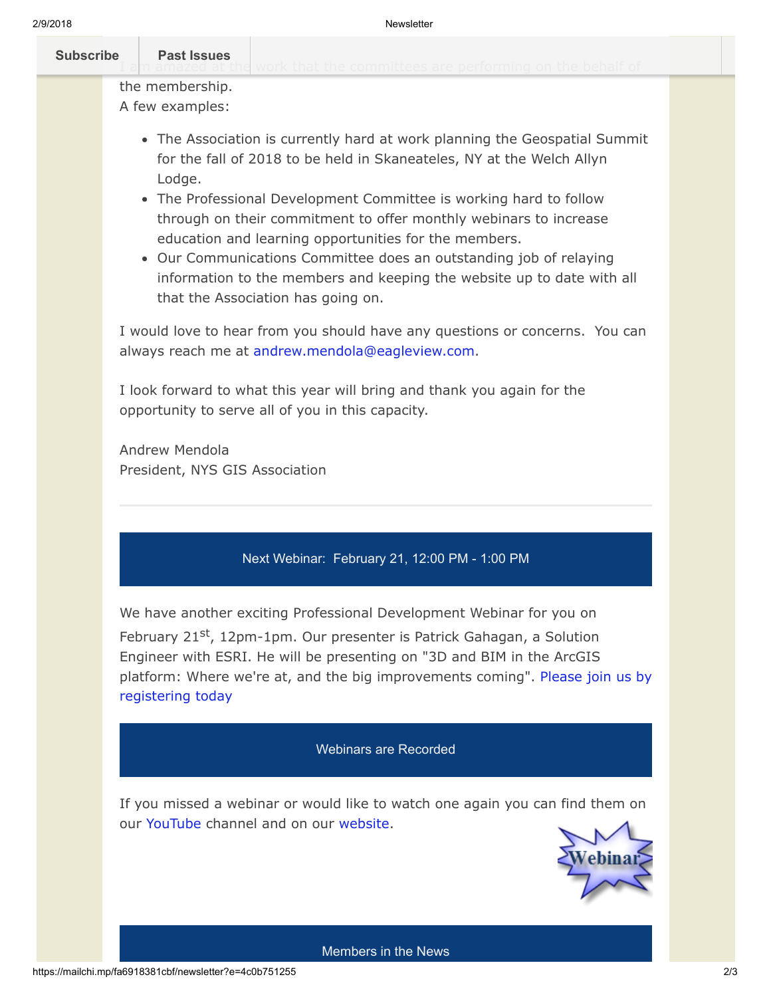| <b>Subscribe</b> | <b>Past Issues</b>                 | WOLK that the committees are nerforming on the hebelf. |
|------------------|------------------------------------|--------------------------------------------------------|
|                  | the membership.<br>A few examples: |                                                        |

- The Association is currently hard at work planning the Geospatial Summit for the fall of 2018 to be held in Skaneateles, NY at the Welch Allyn Lodge.
- The Professional Development Committee is working hard to follow through on their commitment to offer monthly webinars to increase education and learning opportunities for the members.
- Our Communications Committee does an outstanding job of relaying information to the members and keeping the website up to date with all that the Association has going on.

I would love to hear from you should have any questions or concerns. You can always reach me at [andrew.mendola@eagleview.com](mailto:andrew.mendola@eagleview.com).

I look forward to what this year will bring and thank you again for the opportunity to serve all of you in this capacity.

Andrew Mendola President, NYS GIS Association

## Next Webinar: February 21, 12:00 PM - 1:00 PM

We have another exciting Professional Development Webinar for you on

February 21<sup>st</sup>, 12pm-1pm. Our presenter is Patrick Gahagan, a Solution Engineer with ESRI. He will be presenting on "3D and BIM in the ArcGIS [platform: Where we're at, and the big improvements coming". Please join us by](https://nysgisa.clickmeeting.com/3d-and-bim-in-the-arcgis-platform-where-we-re-at-and-the-big-improvements-coming/register) registering today

## Webinars are Recorded

If you missed a webinar or would like to watch one again you can find them on our [YouTube](https://www.youtube.com/user/NYSGISA) channel and on our [website.](https://www.nysgis.net/featured/professional-development-resources/)



Members in the News